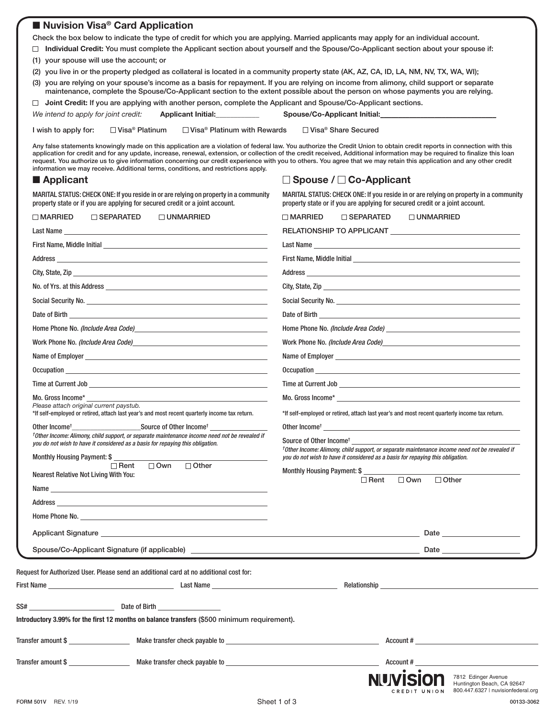# ■ **Nuvision Visa<sup>®</sup> Card Application**

Check the box below to indicate the type of credit for which you are applying. Married applicants may apply for an individual account.

**Individual Credit:** You must complete the Applicant section about yourself and the Spouse/Co-Applicant section about your spouse if: (1) your spouse will use the account; or

(2) you live in or the property pledged as collateral is located in a community property state (AK, AZ, CA, ID, LA, NM, NV, TX, WA, WI);

(3) you are relying on your spouse's income as a basis for repayment. If you are relying on income from alimony, child support or separate maintenance, complete the Spouse/Co-Applicant section to the extent possible about the person on whose payments you are relying.

| $\Box$ Joint Credit: If you are applying with another person, complete the Applicant and Spouse/Co-Applicant sections. |                           |                                     |  |
|------------------------------------------------------------------------------------------------------------------------|---------------------------|-------------------------------------|--|
| We intend to apply for joint credit:                                                                                   | <b>Applicant Initial:</b> | <b>Spouse/Co-Applicant Initial:</b> |  |
|                                                                                                                        |                           |                                     |  |

I wish to apply for:  $□$  Visa® Platinum  $□$  Visa® Platinum with Rewards  $□$  Visa® Share Secured

Any false statements knowingly made on this application are a violation of federal law. You authorize the Credit Union to obtain credit reports in connection with this application for credit and for any update, increase, renewal, extension, or collection of the credit received, Additional information may be required to finalize this loan request. You authorize us to give information concerning our credit experience with you to others. You agree that we may retain this application and any other credit information we may receive. Additional terms, conditions, and restrictions apply.

## ■ **Applicant**

# **Spouse / Co-Applicant**

MARITAL STATUS: CHECK ONE: If you reside in or are relying on property in a community property state or if you are applying for secured credit or a joint account.

| MARITAL STATUS: CHECK ONE: If you reside in or are relying on property in a community |
|---------------------------------------------------------------------------------------|
| property state or if you are applying for secured credit or a joint account.          |

| $\square$ MARRIED                       | □ UNMARRIED<br>$\Box$ SEPARATED                                                                                                                                                                                                      | $\square$ MARRIED<br>$\Box$ SEPARATED<br>$\Box$ UNMARRIED                                                                                                                                                                            |
|-----------------------------------------|--------------------------------------------------------------------------------------------------------------------------------------------------------------------------------------------------------------------------------------|--------------------------------------------------------------------------------------------------------------------------------------------------------------------------------------------------------------------------------------|
|                                         | Last Name                                                                                                                                                                                                                            |                                                                                                                                                                                                                                      |
|                                         |                                                                                                                                                                                                                                      |                                                                                                                                                                                                                                      |
|                                         |                                                                                                                                                                                                                                      | First Name, Middle Initial experience of the state of the state of the state of the state of the state of the                                                                                                                        |
|                                         |                                                                                                                                                                                                                                      |                                                                                                                                                                                                                                      |
|                                         |                                                                                                                                                                                                                                      |                                                                                                                                                                                                                                      |
|                                         |                                                                                                                                                                                                                                      |                                                                                                                                                                                                                                      |
|                                         | Date of Birth <b>Exercía de Service de Service de Service de Service de Service de Service de Service de Service d</b>                                                                                                               | Date of Birth and the control of the control of the control of the control of the control of the control of the control of the control of the control of the control of the control of the control of the control of the contr       |
|                                         |                                                                                                                                                                                                                                      |                                                                                                                                                                                                                                      |
|                                         | Work Phone No. (Include Area Code) More and the Contract of the Contract of the Contract of the Contract of the Contract of the Contract of the Contract of the Contract of the Contract of the Contract of the Contract of th       | Work Phone No. (Include Area Code) More and the Contract of the Contract of the Contract of the Contract of the Contract of the Contract of the Contract of the Contract of the Contract of the Contract of the Contract of th       |
|                                         |                                                                                                                                                                                                                                      |                                                                                                                                                                                                                                      |
|                                         | Occupation <b>contract the contract of the contract of the contract of the contract of the contract of the contract of the contract of the contract of the contract of the contract of the contract of the contract of the contr</b> | Occupation <b>Contract Contract Contract Contract Contract Contract Contract Contract Contract Contract Contract Contract Contract Contract Contract Contract Contract Contract Contract Contract Contract Contract Contract Con</b> |
|                                         |                                                                                                                                                                                                                                      |                                                                                                                                                                                                                                      |
| Mo. Gross Income*                       | <u> 1989 - Johann Barn, mars eta bat erroman erroman erroman erroman erroman erroman erroman erroman erroman err</u>                                                                                                                 |                                                                                                                                                                                                                                      |
| Please attach original current paystub. | *If self-employed or retired, attach last year's and most recent quarterly income tax return.                                                                                                                                        | *If self-employed or retired, attach last year's and most recent quarterly income tax return.                                                                                                                                        |
|                                         |                                                                                                                                                                                                                                      |                                                                                                                                                                                                                                      |
|                                         | <sup>†</sup> Other Income: Alimony, child support, or separate maintenance income need not be revealed if<br>you do not wish to have it considered as a basis for repaying this obligation.                                          | Source of Other Income <sup>t</sup>                                                                                                                                                                                                  |
| Monthly Housing Payment: \$             |                                                                                                                                                                                                                                      | <sup>†</sup> Other Income: Alimony, child support, or separate maintenance income need not be revealed if<br>you do not wish to have it considered as a basis for repaying this obligation.                                          |
| Nearest Relative Not Living With You:   | $\Box$ Rent<br>$\Box$ Own<br>$\Box$ Other                                                                                                                                                                                            | Monthly Housing Payment: \$                                                                                                                                                                                                          |
|                                         |                                                                                                                                                                                                                                      | □ Rent □ Own<br>$\Box$ Other                                                                                                                                                                                                         |
|                                         |                                                                                                                                                                                                                                      |                                                                                                                                                                                                                                      |
|                                         |                                                                                                                                                                                                                                      |                                                                                                                                                                                                                                      |
|                                         |                                                                                                                                                                                                                                      |                                                                                                                                                                                                                                      |
|                                         |                                                                                                                                                                                                                                      | Applicant Signature <b>the contract of the contract of the contract of the contract of the contract of the contract of the contract of the contract of the contract of the contract of the contract of the contract of the contr</b> |
|                                         |                                                                                                                                                                                                                                      |                                                                                                                                                                                                                                      |
|                                         | Request for Authorized User. Please send an additional card at no additional cost for:                                                                                                                                               |                                                                                                                                                                                                                                      |
|                                         |                                                                                                                                                                                                                                      | <b>Relationship Example 2018</b>                                                                                                                                                                                                     |
|                                         |                                                                                                                                                                                                                                      |                                                                                                                                                                                                                                      |
|                                         | SS# Date of Birth                                                                                                                                                                                                                    |                                                                                                                                                                                                                                      |
|                                         | Introductory 3.99% for the first 12 months on balance transfers (\$500 minimum requirement).                                                                                                                                         |                                                                                                                                                                                                                                      |
|                                         | Transfer amount \$                                                                                                                                                                                                                   | Account #                                                                                                                                                                                                                            |
|                                         | Transfer amount \$ ________________________ Make transfer check payable to _________________________                                                                                                                                 | Account #                                                                                                                                                                                                                            |
|                                         |                                                                                                                                                                                                                                      | 7812 Edinger Avenue<br>Huntington Beach, CA 92647<br>800.447.6327   nuvisionfederal.org<br>CREDIT UNION                                                                                                                              |
| FORM 501V REV. 1/19                     |                                                                                                                                                                                                                                      | Sheet 1 of 3<br>00133-3062                                                                                                                                                                                                           |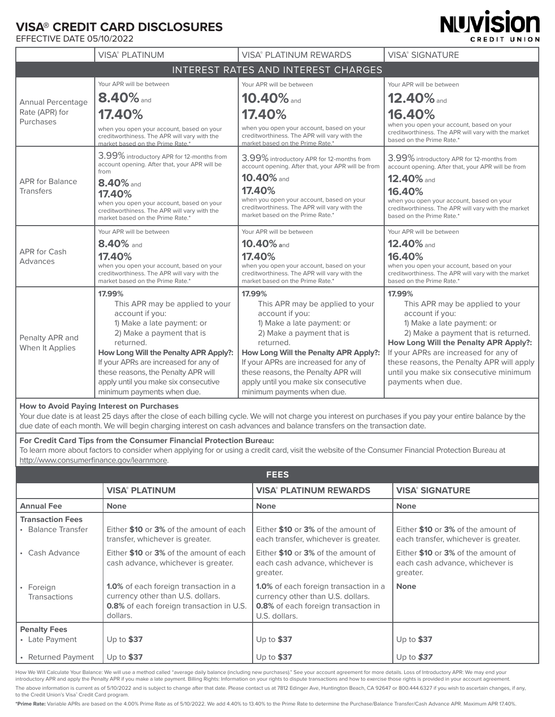# **VISA® CREDIT CARD DISCLOSURES**

EFFECTIVE DATE 05/10/2022

|                                                  | <b>VISA® PLATINUM</b>                                                                                                         | <b>VISA® PLATINUM REWARDS</b>                                                                                                 | <b>VISA® SIGNATURE</b>                                                                                                        |
|--------------------------------------------------|-------------------------------------------------------------------------------------------------------------------------------|-------------------------------------------------------------------------------------------------------------------------------|-------------------------------------------------------------------------------------------------------------------------------|
|                                                  |                                                                                                                               | INTEREST RATES AND INTEREST CHARGES                                                                                           |                                                                                                                               |
| Annual Percentage<br>Rate (APR) for<br>Purchases | Your APR will be between                                                                                                      | Your APR will be between                                                                                                      | Your APR will be between                                                                                                      |
|                                                  | $8.40\%$ and                                                                                                                  | $10.40\%$ and                                                                                                                 | $12.40\%$ and                                                                                                                 |
|                                                  | 17.40%                                                                                                                        | 17.40%                                                                                                                        | 16.40%                                                                                                                        |
|                                                  | when you open your account, based on your<br>creditworthiness. The APR will vary with the<br>market based on the Prime Rate.* | when you open your account, based on your<br>creditworthiness. The APR will vary with the<br>market based on the Prime Rate.* | when you open your account, based on your<br>creditworthiness. The APR will vary with the market<br>based on the Prime Rate.* |
|                                                  | 3.99% introductory APR for 12-months from<br>account opening. After that, your APR will be                                    | 3.99% introductory APR for 12-months from<br>account opening. After that, your APR will be from                               | 3.99% introductory APR for 12-months from<br>account opening. After that, your APR will be from                               |
| <b>APR for Balance</b>                           | from                                                                                                                          | 10.40% and                                                                                                                    | 12.40% and                                                                                                                    |
| <b>Transfers</b>                                 | 8.40% and<br>17.40%                                                                                                           | 17.40%                                                                                                                        | 16.40%                                                                                                                        |
|                                                  | when you open your account, based on your                                                                                     | when you open your account, based on your<br>creditworthiness. The APR will vary with the                                     | when you open your account, based on your<br>creditworthiness. The APR will vary with the market                              |
|                                                  | creditworthiness. The APR will vary with the<br>market based on the Prime Rate.*                                              | market based on the Prime Rate.*                                                                                              | based on the Prime Rate.*                                                                                                     |
|                                                  | Your APR will be between                                                                                                      | Your APR will be between                                                                                                      | Your APR will be between                                                                                                      |
|                                                  | 8.40% and                                                                                                                     | $10.40\%$ and                                                                                                                 | 12.40% and                                                                                                                    |
| <b>APR for Cash</b><br>Advances                  | 17.40%                                                                                                                        | 17.40%                                                                                                                        | 16.40%                                                                                                                        |
|                                                  | when you open your account, based on your<br>creditworthiness. The APR will vary with the                                     | when you open your account, based on your<br>creditworthiness. The APR will vary with the                                     | when you open your account, based on your<br>creditworthiness. The APR will vary with the market                              |
|                                                  | market based on the Prime Rate.*                                                                                              | market based on the Prime Rate.*                                                                                              | based on the Prime Rate.*                                                                                                     |
|                                                  | 17.99%                                                                                                                        | 17.99%                                                                                                                        | 17.99%                                                                                                                        |
| Penalty APR and<br>When It Applies               | This APR may be applied to your                                                                                               | This APR may be applied to your                                                                                               | This APR may be applied to your                                                                                               |
|                                                  | account if you:                                                                                                               | account if you:                                                                                                               | account if you:                                                                                                               |
|                                                  | 1) Make a late payment: or                                                                                                    | 1) Make a late payment: or                                                                                                    | 1) Make a late payment: or                                                                                                    |
|                                                  | 2) Make a payment that is<br>returned.                                                                                        | 2) Make a payment that is<br>returned.                                                                                        | 2) Make a payment that is returned.                                                                                           |
|                                                  | How Long Will the Penalty APR Apply?:                                                                                         |                                                                                                                               | How Long Will the Penalty APR Apply?:<br>If your APRs are increased for any of                                                |
|                                                  | If your APRs are increased for any of                                                                                         | How Long Will the Penalty APR Apply?:<br>If your APRs are increased for any of                                                | these reasons, the Penalty APR will apply                                                                                     |
|                                                  | these reasons, the Penalty APR will                                                                                           | these reasons, the Penalty APR will                                                                                           | until you make six consecutive minimum                                                                                        |
|                                                  | apply until you make six consecutive                                                                                          | apply until you make six consecutive                                                                                          | payments when due.                                                                                                            |
|                                                  | minimum payments when due.                                                                                                    | minimum payments when due.                                                                                                    |                                                                                                                               |

**NUVISION** 

CREDIT UNION

#### **How to Avoid Paying Interest on Purchases**

Your due date is at least 25 days after the close of each billing cycle. We will not charge you interest on purchases if you pay your entire balance by the due date of each month. We will begin charging interest on cash advances and balance transfers on the transaction date.

#### **For Credit Card Tips from the Consumer Financial Protection Bureau:**

To learn more about factors to consider when applying for or using a credit card, visit the website of the Consumer Financial Protection Bureau at http://www.consumerfinance.gov/learnmore.

|                                       |                                                                                                                                                  | <b>FEES</b>                                                                                                                                      |                                                                                   |
|---------------------------------------|--------------------------------------------------------------------------------------------------------------------------------------------------|--------------------------------------------------------------------------------------------------------------------------------------------------|-----------------------------------------------------------------------------------|
|                                       | <b>VISA® PLATINUM</b>                                                                                                                            | <b>VISA® PLATINUM REWARDS</b>                                                                                                                    | <b>VISA® SIGNATURE</b>                                                            |
| <b>Annual Fee</b>                     | <b>None</b>                                                                                                                                      | <b>None</b>                                                                                                                                      | <b>None</b>                                                                       |
| <b>Transaction Fees</b>               |                                                                                                                                                  |                                                                                                                                                  |                                                                                   |
| • Balance Transfer                    | Either \$10 or 3% of the amount of each<br>transfer, whichever is greater.                                                                       | Either \$10 or 3% of the amount of<br>each transfer, whichever is greater.                                                                       | Either \$10 or 3% of the amount of<br>each transfer, whichever is greater.        |
| • Cash Advance                        | Either \$10 or 3% of the amount of each<br>cash advance, whichever is greater.                                                                   | Either \$10 or 3% of the amount of<br>each cash advance, whichever is<br>greater.                                                                | Either \$10 or 3% of the amount of<br>each cash advance, whichever is<br>greater. |
| • Foreign<br><b>Transactions</b>      | <b>1.0%</b> of each foreign transaction in a<br>currency other than U.S. dollars.<br><b>0.8%</b> of each foreign transaction in U.S.<br>dollars. | <b>1.0%</b> of each foreign transaction in a<br>currency other than U.S. dollars.<br><b>0.8%</b> of each foreign transaction in<br>U.S. dollars. | <b>None</b>                                                                       |
| <b>Penalty Fees</b><br>• Late Payment | Up to $$37$                                                                                                                                      | Up to $$37$                                                                                                                                      | Up to $$37$                                                                       |
| • Returned Payment                    | Up to $$37$                                                                                                                                      | Up to $$37$                                                                                                                                      | Up to $$37$                                                                       |

How We Will Calculate Your Balance: We will use a method called "average daily balance (including new purchases)." See your account agreement for more details. Loss of Introductory APR: We may end your introductory APR and apply the Penalty APR if you make a late payment. Billing Rights: Information on your rights to dispute transactions and how to exercise those rights is provided in your account agreement. The above information is current as of 5/10/2022 and is subject to change after that date. Please contact us at 7812 Edinger Ave, Huntington Beach, CA 92647 or 800.444.6327 if you wish to ascertain changes, if any, to the Credit Union's Visa® Credit Card program.

**\*Prime Rate:** Variable APRs are based on the 4.00% Prime Rate as of 5/10/2022. We add 4.40% to 13.40% to the Prime Rate to determine the Purchase/Balance Transfer/Cash Advance APR. Maximum APR 17.40%.